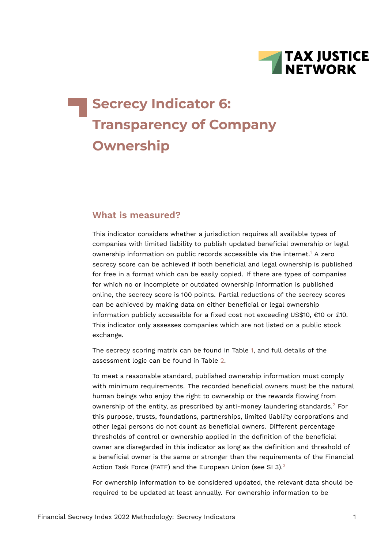<span id="page-0-0"></span>

# **Secrecy Indicator 6: Transparency of Company Ownership**

#### **What is measured?**

This indicator considers whether a jurisdiction requires all available types of companies with limited liability to publish updated beneficial ownership or legal ownership information on public records accessible via the internet.[1](#page-12-0) A zero secrecy score can be achieved if both beneficial and legal ownership is published for free in a format which can be easily copied. If there are types of companies for which no or incomplete or outdated ownership information is published online, the secrecy score is 100 points. Partial reductions of the secrecy scores can be achieved by making data on either beneficial or legal ownership information publicly accessible for a fixed cost not exceeding US\$10, €10 or £10. This indicator only assesses companies which are not listed on a public stock exchange.

The secrecy scoring matrix can be found in Table [1](#page-1-0), and full details of the assessment logic can be found in Table [2.](#page-8-0)

<span id="page-0-1"></span>To meet a reasonable standard, published ownership information must comply with minimum requirements. The recorded beneficial owners must be the natural human beings who enjoy the right to ownership or the rewards flowing from ownership of the entity, as prescribed by anti-money laundering standards.[2](#page-12-1) For this purpose, trusts, foundations, partnerships, limited liability corporations and other legal persons do not count as beneficial owners. Different percentage thresholds of control or ownership applied in the definition of the beneficial owner are disregarded in this indicator as long as the definition and threshold of a beneficial owner is the same or stronger than the requirements of the Financial Action Task Force (FATF) and the European Union (see SI [3](#page-12-2)).<sup>3</sup>

<span id="page-0-2"></span>For ownership information to be considered updated, the relevant data should be required to be updated at least annually. For ownership information to be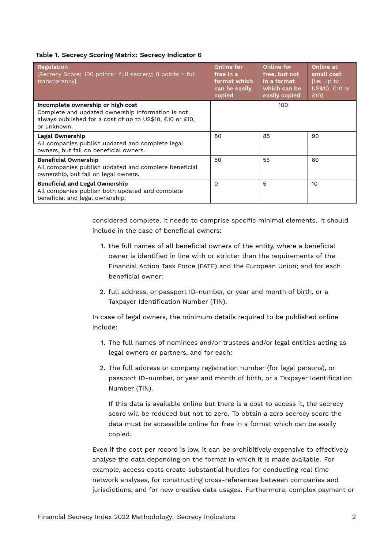#### <span id="page-1-0"></span>**Table 1. Secrecy Scoring Matrix: Secrecy Indicator 6**

| <b>Regulation</b><br>[Secrecy Score: 100 points= full secrecy; 0 points = full<br>transparency]                                                                   | <b>Online for</b><br>free in a<br>format which<br>can be easily<br>copied | Online for<br>free, but not<br>in a format<br>which can be<br>easily copied | Online at<br>small cost<br>[i.e. up to<br>US\$10, €10 or<br>£10] |
|-------------------------------------------------------------------------------------------------------------------------------------------------------------------|---------------------------------------------------------------------------|-----------------------------------------------------------------------------|------------------------------------------------------------------|
| Incomplete ownership or high cost<br>Complete and updated ownership information is not<br>always published for a cost of up to US\$10, €10 or £10,<br>or unknown. |                                                                           | 100                                                                         |                                                                  |
| Legal Ownership<br>All companies publish updated and complete legal<br>owners, but fail on beneficial owners.                                                     | 80                                                                        | 85                                                                          | 90                                                               |
| <b>Beneficial Ownership</b><br>All companies publish updated and complete beneficial<br>ownership, but fail on legal owners.                                      | 50                                                                        | 55                                                                          | 60                                                               |
| <b>Beneficial and Legal Ownership</b><br>All companies publish both updated and complete<br>beneficial and legal ownership.                                       | 0                                                                         | 5                                                                           | 10                                                               |

considered complete, it needs to comprise specific minimal elements. It should include in the case of beneficial owners:

- 1. the full names of all beneficial owners of the entity, where a beneficial owner is identified in line with or stricter than the requirements of the Financial Action Task Force (FATF) and the European Union; and for each beneficial owner:
- 2. full address, or passport ID-number, or year and month of birth, or a Taxpayer Identification Number (TIN).

In case of legal owners, the minimum details required to be published online include:

- 1. The full names of nominees and/or trustees and/or legal entities acting as legal owners or partners, and for each:
- 2. The full address or company registration number (for legal persons), or passport ID-number, or year and month of birth, or a Taxpayer Identification Number (TIN).

If this data is available online but there is a cost to access it, the secrecy score will be reduced but not to zero. To obtain a zero secrecy score the data must be accessible online for free in a format which can be easily copied.

Even if the cost per record is low, it can be prohibitively expensive to effectively analyse the data depending on the format in which it is made available. For example, access costs create substantial hurdles for conducting real time network analyses, for constructing cross-references between companies and jurisdictions, and for new creative data usages. Furthermore, complex payment or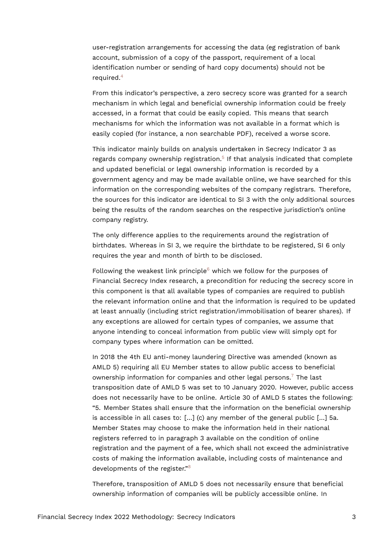user-registration arrangements for accessing the data (eg registration of bank account, submission of a copy of the passport, requirement of a local identification number or sending of hard copy documents) should not be required.[4](#page-12-3)

<span id="page-2-0"></span>From this indicator's perspective, a zero secrecy score was granted for a search mechanism in which legal and beneficial ownership information could be freely accessed, in a format that could be easily copied. This means that search mechanisms for which the information was not available in a format which is easily copied (for instance, a non searchable PDF), received a worse score.

<span id="page-2-1"></span>This indicator mainly builds on analysis undertaken in Secrecy Indicator 3 as regards company ownership registration.<sup>[5](#page-12-4)</sup> If that analysis indicated that complete and updated beneficial or legal ownership information is recorded by a government agency and may be made available online, we have searched for this information on the corresponding websites of the company registrars. Therefore, the sources for this indicator are identical to SI 3 with the only additional sources being the results of the random searches on the respective jurisdiction's online company registry.

The only difference applies to the requirements around the registration of birthdates. Whereas in SI 3, we require the birthdate to be registered, SI 6 only requires the year and month of birth to be disclosed.

<span id="page-2-2"></span>Following the weakest link principle $6$  which we follow for the purposes of Financial Secrecy Index research, a precondition for reducing the secrecy score in this component is that all available types of companies are required to publish the relevant information online and that the information is required to be updated at least annually (including strict registration/immobilisation of bearer shares). If any exceptions are allowed for certain types of companies, we assume that anyone intending to conceal information from public view will simply opt for company types where information can be omitted.

<span id="page-2-3"></span>In 2018 the 4th EU anti-money laundering Directive was amended (known as AMLD 5) requiring all EU Member states to allow public access to beneficial ownership information for companies and other legal persons.<sup>[7](#page-12-6)</sup> The last transposition date of AMLD 5 was set to 10 January 2020. However, public access does not necessarily have to be online. Article 30 of AMLD 5 states the following: "5. Member States shall ensure that the information on the beneficial ownership is accessible in all cases to:  $[...]$  (c) any member of the general public  $[...]$  5a. Member States may choose to make the information held in their national registers referred to in paragraph 3 available on the condition of online registration and the payment of a fee, which shall not exceed the administrative costs of making the information available, including costs of maintenance and developments of the register."[8](#page-12-7)

<span id="page-2-4"></span>Therefore, transposition of AMLD 5 does not necessarily ensure that beneficial ownership information of companies will be publicly accessible online. In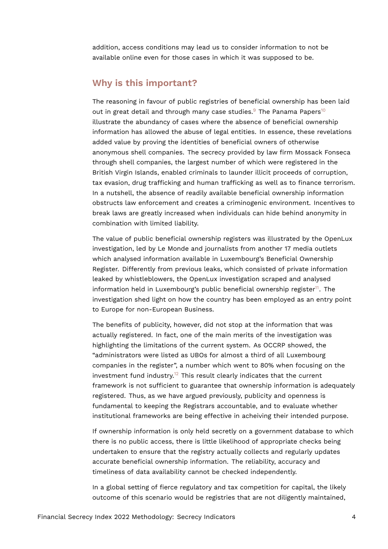addition, access conditions may lead us to consider information to not be available online even for those cases in which it was supposed to be.

#### **Why is this important?**

<span id="page-3-1"></span><span id="page-3-0"></span>The reasoning in favour of public registries of beneficial ownership has been laid out in great detail and through many case studies.<sup>[9](#page-13-0)</sup> The Panama Papers<sup>[10](#page-13-1)</sup> illustrate the abundancy of cases where the absence of beneficial ownership information has allowed the abuse of legal entities. In essence, these revelations added value by proving the identities of beneficial owners of otherwise anonymous shell companies. The secrecy provided by law firm Mossack Fonseca through shell companies, the largest number of which were registered in the British Virgin Islands, enabled criminals to launder illicit proceeds of corruption, tax evasion, drug trafficking and human trafficking as well as to finance terrorism. In a nutshell, the absence of readily available beneficial ownership information obstructs law enforcement and creates a criminogenic environment. Incentives to break laws are greatly increased when individuals can hide behind anonymity in combination with limited liability.

The value of public beneficial ownership registers was illustrated by the OpenLux investigation, led by Le Monde and journalists from another 17 media outlets which analysed information available in Luxembourg's Beneficial Ownership Register. Differently from previous leaks, which consisted of private information leaked by whistleblowers, the OpenLux investigation scraped and analysed information held in Luxembourg's public beneficial ownership register $11$ . The investigation shed light on how the country has been employed as an entry point to Europe for non-European Business.

<span id="page-3-3"></span><span id="page-3-2"></span>The benefits of publicity, however, did not stop at the information that was actually registered. In fact, one of the main merits of the investigation was highlighting the limitations of the current system. As OCCRP showed, the "administrators were listed as UBOs for almost a third of all Luxembourg companies in the register", a number which went to 80% when focusing on the investment fund industry.<sup>[12](#page-13-3)</sup> This result clearly indicates that the current framework is not sufficient to guarantee that ownership information is adequately registered. Thus, as we have argued previously, publicity and openness is fundamental to keeping the Registrars accountable, and to evaluate whether institutional frameworks are being effective in acheiving their intended purpose.

If ownership information is only held secretly on a government database to which there is no public access, there is little likelihood of appropriate checks being undertaken to ensure that the registry actually collects and regularly updates accurate beneficial ownership information. The reliability, accuracy and timeliness of data availability cannot be checked independently.

In a global setting of fierce regulatory and tax competition for capital, the likely outcome of this scenario would be registries that are not diligently maintained,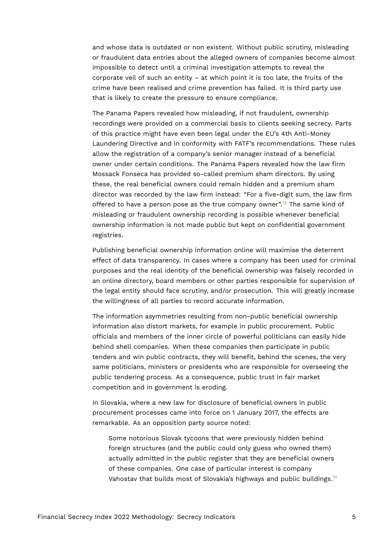and whose data is outdated or non existent. Without public scrutiny, misleading or fraudulent data entries about the alleged owners of companies become almost impossible to detect until a criminal investigation attempts to reveal the corporate veil of such an entity – at which point it is too late, the fruits of the crime have been realised and crime prevention has failed. It is third party use that is likely to create the pressure to ensure compliance.

The Panama Papers revealed how misleading, if not fraudulent, ownership recordings were provided on a commercial basis to clients seeking secrecy. Parts of this practice might have even been legal under the EU's 4th Anti-Money Laundering Directive and in conformity with FATF's recommendations. These rules allow the registration of a company's senior manager instead of a beneficial owner under certain conditions. The Panama Papers revealed how the law firm Mossack Fonseca has provided so-called premium sham directors. By using these, the real beneficial owners could remain hidden and a premium sham director was recorded by the law firm instead: "For a five-digit sum, the law firm offered to have a person pose as the true company owner".[13](#page-13-4) The same kind of misleading or fraudulent ownership recording is possible whenever beneficial ownership information is not made public but kept on confidential government registries.

<span id="page-4-0"></span>Publishing beneficial ownership information online will maximise the deterrent effect of data transparency. In cases where a company has been used for criminal purposes and the real identity of the beneficial ownership was falsely recorded in an online directory, board members or other parties responsible for supervision of the legal entity should face scrutiny, and/or prosecution. This will greatly increase the willingness of all parties to record accurate information.

The information asymmetries resulting from non-public beneficial ownership information also distort markets, for example in public procurement. Public officials and members of the inner circle of powerful politicians can easily hide behind shell companies. When these companies then participate in public tenders and win public contracts, they will benefit, behind the scenes, the very same politicians, ministers or presidents who are responsible for overseeing the public tendering process. As a consequence, public trust in fair market competition and in government is eroding.

In Slovakia, where a new law for disclosure of beneficial owners in public procurement processes came into force on 1 January 2017, the effects are remarkable. As an opposition party source noted:

<span id="page-4-1"></span>Some notorious Slovak tycoons that were previously hidden behind foreign structures (and the public could only guess who owned them) actually admitted in the public register that they are beneficial owners of these companies. One case of particular interest is company Vahostav that builds most of Slovakia's highways and public buildings.<sup>[14](#page-13-5)</sup>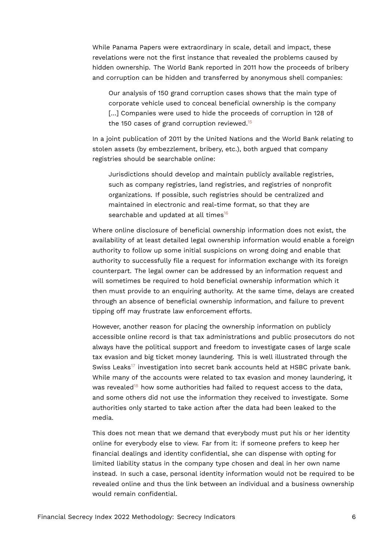While Panama Papers were extraordinary in scale, detail and impact, these revelations were not the first instance that revealed the problems caused by hidden ownership. The World Bank reported in 2011 how the proceeds of bribery and corruption can be hidden and transferred by anonymous shell companies:

<span id="page-5-0"></span>Our analysis of 150 grand corruption cases shows that the main type of corporate vehicle used to conceal beneficial ownership is the company [...] Companies were used to hide the proceeds of corruption in 128 of the [15](#page-13-6)0 cases of grand corruption reviewed.<sup>15</sup>

In a joint publication of 2011 by the United Nations and the World Bank relating to stolen assets (by embezzlement, bribery, etc.), both argued that company registries should be searchable online:

<span id="page-5-1"></span>Jurisdictions should develop and maintain publicly available registries, such as company registries, land registries, and registries of nonprofit organizations. If possible, such registries should be centralized and maintained in electronic and real-time format, so that they are searchable and updated at all times<sup>[16](#page-13-7)</sup>

Where online disclosure of beneficial ownership information does not exist, the availability of at least detailed legal ownership information would enable a foreign authority to follow up some initial suspicions on wrong doing and enable that authority to successfully file a request for information exchange with its foreign counterpart. The legal owner can be addressed by an information request and will sometimes be required to hold beneficial ownership information which it then must provide to an enquiring authority. At the same time, delays are created through an absence of beneficial ownership information, and failure to prevent tipping off may frustrate law enforcement efforts.

<span id="page-5-2"></span>However, another reason for placing the ownership information on publicly accessible online record is that tax administrations and public prosecutors do not always have the political support and freedom to investigate cases of large scale tax evasion and big ticket money laundering. This is well illustrated through the Swiss Leaks<sup>[17](#page-13-8)</sup> investigation into secret bank accounts held at HSBC private bank. While many of the accounts were related to tax evasion and money laundering, it was revealed<sup>[18](#page-13-9)</sup> how some authorities had failed to request access to the data, and some others did not use the information they received to investigate. Some authorities only started to take action after the data had been leaked to the media.

<span id="page-5-3"></span>This does not mean that we demand that everybody must put his or her identity online for everybody else to view. Far from it: if someone prefers to keep her financial dealings and identity confidential, she can dispense with opting for limited liability status in the company type chosen and deal in her own name instead. In such a case, personal identity information would not be required to be revealed online and thus the link between an individual and a business ownership would remain confidential.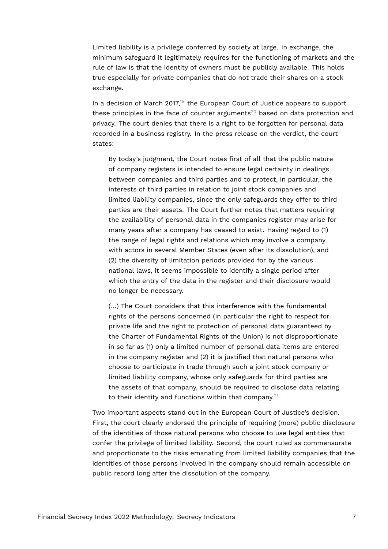Limited liability is a privilege conferred by society at large. In exchange, the minimum safeguard it legitimately requires for the functioning of markets and the rule of law is that the identity of owners must be publicly available. This holds true especially for private companies that do not trade their shares on a stock exchange.

<span id="page-6-0"></span>In a decision of March 2017, $19$  the European Court of Justice appears to support these principles in the face of counter arguments<sup>[20](#page-13-11)</sup> based on data protection and privacy. The court denies that there is a right to be forgotten for personal data recorded in a business registry. In the press release on the verdict, the court states:

<span id="page-6-1"></span>By today's judgment, the Court notes first of all that the public nature of company registers is intended to ensure legal certainty in dealings between companies and third parties and to protect, in particular, the interests of third parties in relation to joint stock companies and limited liability companies, since the only safeguards they offer to third parties are their assets. The Court further notes that matters requiring the availability of personal data in the companies register may arise for many years after a company has ceased to exist. Having regard to (1) the range of legal rights and relations which may involve a company with actors in several Member States (even after its dissolution), and (2) the diversity of limitation periods provided for by the various national laws, it seems impossible to identify a single period after which the entry of the data in the register and their disclosure would no longer be necessary.

(…) The Court considers that this interference with the fundamental rights of the persons concerned (in particular the right to respect for private life and the right to protection of personal data guaranteed by the Charter of Fundamental Rights of the Union) is not disproportionate in so far as (1) only a limited number of personal data items are entered in the company register and (2) it is justified that natural persons who choose to participate in trade through such a joint stock company or limited liability company, whose only safeguards for third parties are the assets of that company, should be required to disclose data relating to their identity and functions within that company. $21$ 

<span id="page-6-2"></span>Two important aspects stand out in the European Court of Justice's decision. First, the court clearly endorsed the principle of requiring (more) public disclosure of the identities of those natural persons who choose to use legal entities that confer the privilege of limited liability. Second, the court ruled as commensurate and proportionate to the risks emanating from limited liability companies that the identities of those persons involved in the company should remain accessible on public record long after the dissolution of the company.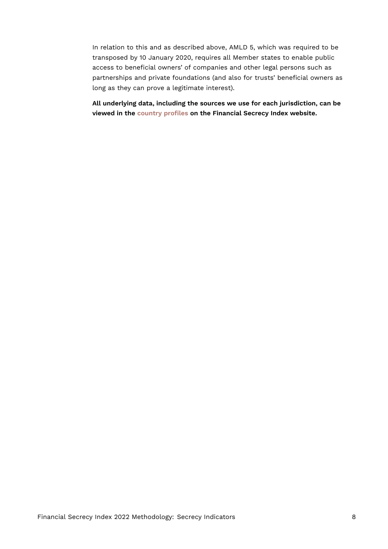In relation to this and as described above, AMLD 5, which was required to be transposed by 10 January 2020, requires all Member states to enable public access to beneficial owners' of companies and other legal persons such as partnerships and private foundations (and also for trusts' beneficial owners as long as they can prove a legitimate interest).

**All underlying data, including the sources we use for each jurisdiction, can be viewed in the [country profiles](https://fsi.taxjustice.net/country-detail) on the Financial Secrecy Index website.**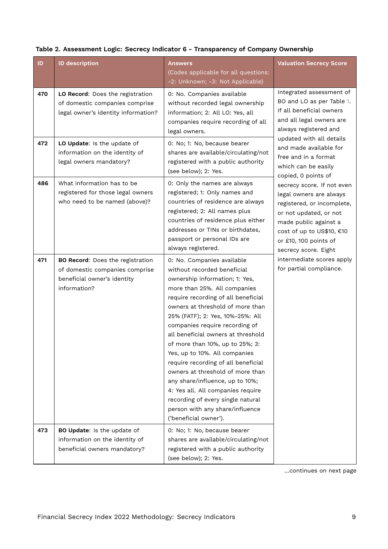| ID  | <b>ID description</b>                                                                                             | <b>Answers</b><br>(Codes applicable for all questions:<br>-2: Unknown; -3: Not Applicable)                                                                                                                                                                                                                                                                                                                                                                                                                                                                                                                                                 | <b>Valuation Secrecy Score</b>                                                                                                                                                                                                              |  |
|-----|-------------------------------------------------------------------------------------------------------------------|--------------------------------------------------------------------------------------------------------------------------------------------------------------------------------------------------------------------------------------------------------------------------------------------------------------------------------------------------------------------------------------------------------------------------------------------------------------------------------------------------------------------------------------------------------------------------------------------------------------------------------------------|---------------------------------------------------------------------------------------------------------------------------------------------------------------------------------------------------------------------------------------------|--|
| 470 | LO Record: Does the registration<br>of domestic companies comprise<br>legal owner's identity information?         | 0: No. Companies available<br>without recorded legal ownership<br>information; 2: All LO: Yes, all<br>companies require recording of all<br>legal owners.                                                                                                                                                                                                                                                                                                                                                                                                                                                                                  | Integrated assessment of<br>BO and LO as per Table 1.<br>If all beneficial owners<br>and all legal owners are<br>always registered and                                                                                                      |  |
| 472 | LO Update: Is the update of<br>information on the identity of<br>legal owners mandatory?                          | 0: No; 1: No, because bearer<br>shares are available/circulating/not<br>registered with a public authority<br>(see below); 2: Yes.                                                                                                                                                                                                                                                                                                                                                                                                                                                                                                         | updated with all details<br>and made available for<br>free and in a format<br>which can be easily                                                                                                                                           |  |
| 486 | What information has to be<br>registered for those legal owners<br>who need to be named (above)?                  | 0: Only the names are always<br>registered; 1: Only names and<br>countries of residence are always<br>registered; 2: All names plus<br>countries of residence plus either<br>addresses or TINs or birthdates,<br>passport or personal IDs are<br>always registered.                                                                                                                                                                                                                                                                                                                                                                        | copied, 0 points of<br>secrecy score. If not even<br>legal owners are always<br>registered, or incomplete,<br>or not updated, or not<br>made public against a<br>cost of up to US\$10, €10<br>or £10, 100 points of<br>secrecy score. Eight |  |
| 471 | BO Record: Does the registration<br>of domestic companies comprise<br>beneficial owner's identity<br>information? | 0: No. Companies available<br>without recorded beneficial<br>ownership information; 1: Yes,<br>more than 25%. All companies<br>require recording of all beneficial<br>owners at threshold of more than<br>25% (FATF); 2: Yes, 10%-25%: All<br>companies require recording of<br>all beneficial owners at threshold<br>of more than 10%, up to 25%; 3:<br>Yes, up to 10%. All companies<br>require recording of all beneficial<br>owners at threshold of more than<br>any share/influence, up to 10%;<br>4: Yes all. All companies require<br>recording of every single natural<br>person with any share/influence<br>('beneficial owner'). | intermediate scores apply<br>for partial compliance.                                                                                                                                                                                        |  |
| 473 | BO Update: Is the update of<br>information on the identity of<br>beneficial owners mandatory?                     | 0: No; 1: No, because bearer<br>shares are available/circulating/not<br>registered with a public authority<br>(see below); 2: Yes.                                                                                                                                                                                                                                                                                                                                                                                                                                                                                                         |                                                                                                                                                                                                                                             |  |

#### <span id="page-8-0"></span>**Table 2. Assessment Logic: Secrecy Indicator 6 - Transparency of Company Ownership**

…continues on next page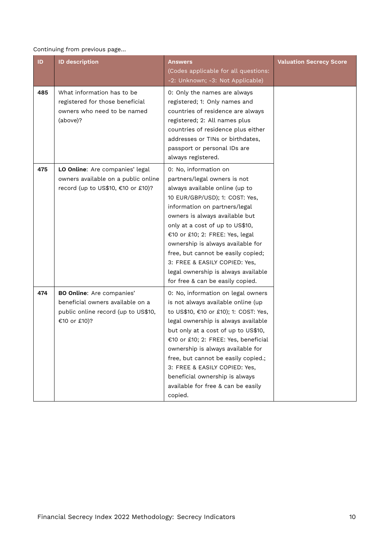#### Continuing from previous page…

| ID. | <b>ID description</b>                                                                                                       | <b>Answers</b><br>(Codes applicable for all questions:<br>-2: Unknown; -3: Not Applicable)                                                                                                                                                                                                                                                                                                                                                                | <b>Valuation Secrecy Score</b> |
|-----|-----------------------------------------------------------------------------------------------------------------------------|-----------------------------------------------------------------------------------------------------------------------------------------------------------------------------------------------------------------------------------------------------------------------------------------------------------------------------------------------------------------------------------------------------------------------------------------------------------|--------------------------------|
| 485 | What information has to be<br>registered for those beneficial<br>owners who need to be named<br>(above)?                    | 0: Only the names are always<br>registered; 1: Only names and<br>countries of residence are always<br>registered; 2: All names plus<br>countries of residence plus either<br>addresses or TINs or birthdates,<br>passport or personal IDs are<br>always registered.                                                                                                                                                                                       |                                |
| 475 | LO Online: Are companies' legal<br>owners available on a public online<br>record (up to US\$10, €10 or £10)?                | 0: No, information on<br>partners/legal owners is not<br>always available online (up to<br>10 EUR/GBP/USD); 1: COST: Yes,<br>information on partners/legal<br>owners is always available but<br>only at a cost of up to US\$10,<br>€10 or £10; 2: FREE: Yes, legal<br>ownership is always available for<br>free, but cannot be easily copied;<br>3: FREE & EASILY COPIED: Yes,<br>legal ownership is always available<br>for free & can be easily copied. |                                |
| 474 | <b>BO Online:</b> Are companies'<br>beneficial owners available on a<br>public online record (up to US\$10,<br>€10 or £10)? | 0: No, information on legal owners<br>is not always available online (up<br>to US\$10, €10 or £10); 1: COST: Yes,<br>legal ownership is always available<br>but only at a cost of up to US\$10,<br>€10 or £10; 2: FREE: Yes, beneficial<br>ownership is always available for<br>free, but cannot be easily copied.;<br>3: FREE & EASILY COPIED: Yes,<br>beneficial ownership is always<br>available for free & can be easily<br>copied.                   |                                |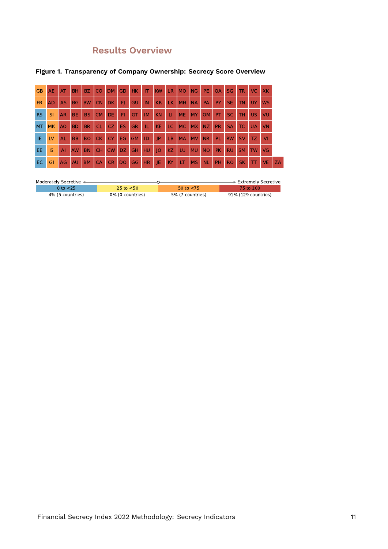### **Results Overview**

| <b>GB</b> | AE.       | AT             | <b>BH</b> | <b>BZ</b> | <b>CO</b> | DM.             | GD        | HK.       | IT.       | <b>KW</b> | <b>LR</b> | <b>MO</b> | <b>NG</b> | PE.       | QA        | <b>SG</b> | TR.       | VC.       | <b>XK</b> |    |
|-----------|-----------|----------------|-----------|-----------|-----------|-----------------|-----------|-----------|-----------|-----------|-----------|-----------|-----------|-----------|-----------|-----------|-----------|-----------|-----------|----|
| <b>FR</b> | <b>AD</b> | <b>AS</b>      | <b>BG</b> | <b>BW</b> | <b>CN</b> | DK.             | FI        | GU        | <b>IN</b> | <b>KR</b> | LK.       | MH        | <b>NA</b> | PA        | PY        | <b>SE</b> | <b>TN</b> | UY        | <b>WS</b> |    |
| <b>RS</b> | SI        | <b>AR</b>      | BE.       | <b>BS</b> | <b>CM</b> | DE.             | FI        | GT        | IM        | <b>KN</b> | LI.       | <b>ME</b> | MY        | <b>OM</b> | PT.       | SC.       | <b>TH</b> | US.       | VU        |    |
| <b>MT</b> | <b>MK</b> | A <sub>O</sub> | <b>BD</b> | <b>BR</b> | <b>CL</b> | CZ <sup>1</sup> | <b>ES</b> | <b>GR</b> | IL        | <b>KE</b> | LC        | <b>MC</b> | <b>MX</b> | <b>NZ</b> | <b>PR</b> | <b>SA</b> | <b>TC</b> | <b>UA</b> | <b>VN</b> |    |
| IE        | LV        | <b>AL</b>      | <b>BB</b> | <b>BO</b> | <b>CK</b> | <b>CY</b>       | EG.       | <b>GM</b> | ID        | IP        | LB        | <b>MA</b> | <b>MV</b> | <b>NR</b> | PL        | <b>RW</b> | <b>SV</b> | TZ.       | M         |    |
| EE.       | IS        | AI             | <b>AW</b> | <b>BN</b> | <b>CH</b> | <b>CW</b>       | DZ.       | <b>GH</b> | <b>HU</b> | O         | KZ        | <b>LU</b> | <b>MU</b> | <b>NO</b> | <b>PK</b> | <b>RU</b> | <b>SM</b> | <b>TW</b> | VG        |    |
| <b>EC</b> | GI        | AG             | <b>AU</b> | <b>BM</b> | <b>CA</b> | <b>CR</b>       | <b>DO</b> | GG        | <b>HR</b> | IE        | KY        | LT        | <b>MS</b> | <b>NL</b> | PH        | <b>RO</b> | <b>SK</b> | TT        | VE.       | ZA |

#### **Figure 1. Transparency of Company Ownership: Secrecy Score Overview**

| Moderately Secretive < |                       |                  | $\blacktriangleright$ Extremely Secretive |
|------------------------|-----------------------|------------------|-------------------------------------------|
| 0 to $<$ 25            | $25 \text{ to } < 50$ | 50 to $<$ 75     | 75 to 100                                 |
| 4% (5 countries)       | 0% (0 countries)      | 5% (7 countries) | 91% (129 countries)                       |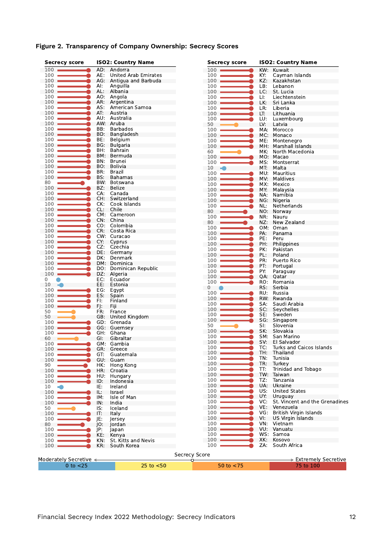| <b>Secrecy score</b>   |            | <b>ISO2: Country Name</b> | <b>Secrecy score</b> |     | <b>ISO2: Country Name</b>         |
|------------------------|------------|---------------------------|----------------------|-----|-----------------------------------|
| $100 -$                |            | AD: Andorra               | 100                  | KW: | Kuwait                            |
| 100                    | AE:        | United Arab Emirates      | 100                  | KY: | Cayman Islands                    |
| $100 -$                | AG:        | Antigua and Barbuda       | 100                  | KZ: | Kazakhstan                        |
| 100                    | AI.        | Anguilla                  | 100                  | LB: | Lebanon                           |
| 100                    | AL:        | Albania                   | 100                  | LC: | St. Lucia                         |
| 100                    |            | AO: Angola                | 100                  | LI: | Liechtenstein                     |
| 100                    | AR:        | Argentina                 | 100                  | LK. | Sri Lanka                         |
| 100                    | AS:        | American Samoa            | 100                  | LR: | Liberia                           |
| 100                    | AT:        | Austria                   | 100                  | LT: | Lithuania                         |
| 100                    |            | AU: Australia             | 100                  | LU: | Luxembourg                        |
| 100                    |            | AW: Aruba                 | 50                   | LV: | Latvia                            |
| 100                    | BB:        | Barbados                  | 100                  | MA: | Morocco                           |
| 100                    |            | BD: Bangladesh            | 100                  | MC: | Monaco                            |
| 100                    | BE:        | Belgium                   | 100                  | ME: | Montenegro                        |
| 100                    | BG:        | <b>Bulgaria</b>           | 100                  | MH. | Marshall Islands                  |
| 100                    | BH:        | Bahrain                   | 60                   | MK: | North Macedonia                   |
| 100                    |            | BM: Bermuda               | 100                  |     | MO: Macao                         |
| 100                    | BN:        | Brunei                    | 100                  | MS: | Montserrat                        |
| 100                    |            | BO: Bolivia               | 10                   | MT. | Malta                             |
| 100                    | BR:        | Brazil                    | 100                  |     | MU: Mauritius                     |
| 100                    | BS:        | <b>Bahamas</b>            | 100                  | MV: | Maldives                          |
| 80                     |            | BW: Botswana              | 100                  | MX: | Mexico                            |
| $100 -$                | BZ:        | Belize                    | 100                  | MY: | Malaysia                          |
| 100                    | CA:        | Canada                    | 100                  | NA: | Namibia                           |
| 100                    | CH:        | Switzerland               | 100                  |     | NG: Nigeria                       |
| 100                    | CK:        | Cook Islands              | 100                  | NL: | Netherlands                       |
| 100                    | CL:        | Chile                     | 80                   | NO. | Norway                            |
| 100                    | CM:        | Cameroon                  | 100                  | NR: | Nauru                             |
| 100                    | CN:        | China                     | 80                   | NZ: | New Zealand                       |
| 100                    | CO:        | Colombia                  | 100                  |     | OM: Oman                          |
| 100                    | CR:        | Costa Rica                | 100                  | PA: | Panama                            |
| 100                    |            | CW: Curacao               | 100                  | PE: | Peru                              |
| 100<br>100             | CY:<br>CZ. | Cyprus<br>Czechia         | 100                  | PH: | Philippines                       |
| 100                    | DE:        |                           | 100                  | PK: | Pakistan                          |
| 100                    | DK:        | Germany<br>Denmark        | 100                  | PL: | Poland                            |
| 100                    |            | DM: Dominica              | 100                  | PR: | Puerto Rico                       |
| 100                    |            | DO: Dominican Republic    | 100                  | PT: | Portugal                          |
| 100                    | DZ:        | Algeria                   | 100                  | PY: | Paraguay                          |
| 0                      | EC:        | Ecuador                   | 100                  | QA: | Oatar                             |
| 10                     | EE:        | Estonia                   | 100                  | RO: | Romania                           |
| 100                    | EG:        | Egypt                     | 0                    | RS: | Serbia                            |
| 100                    | ES:        | Spain                     | 100                  | RU: | Russia                            |
| 100                    | FI:        | Finland                   | 100                  |     | RW: Rwanda                        |
| 100                    | FJ:        | Fiji                      | 100                  | SA: | Saudi Arabia                      |
| 50                     | FR:        | France                    | 100                  | SC: | Seychelles                        |
| 50                     |            | GB: United Kingdom        | 100                  | SE: | Sweden                            |
| 100                    | GD:        | Grenada                   | 100                  | SG: | Singapore                         |
| 100                    |            | GG: Guernsey              | 50                   | SI: | Slovenia                          |
| 100                    |            | GH: Ghana                 | 100                  | SK: | Slovakia                          |
| 60                     | GI:        | Gibraltar                 | 100                  | SM: | San Marino                        |
| 100                    |            | GM: Gambia                | 100                  | SV: | El Salvador                       |
| $100 -$                | GR:        | Greece                    | 100                  | TC: | Turks and Caicos Islands          |
| 100                    | GT:        | Guatemala                 | 100                  | TH: | Thailand                          |
| 100                    | GU:        | Guam                      | 100                  | TN: | Tunisia                           |
| 90                     | HK:        | Hong Kong                 | 100                  | TR: | Turkey                            |
| 100                    | HR:        | Croatia                   | 100                  | TT: | Trinidad and Tobago               |
| 100                    | HU:        | Hungary                   | 100                  | TW: | Taiwan                            |
| 100                    | ID:        | Indonesia                 | 100                  | TZ: | Tanzania                          |
| 10<br>41               | IE:        | Ireland                   | 100                  | UA: | Ukraine                           |
| 100                    | IL:        | Israel                    | 100                  | US: | <b>United States</b>              |
| 100                    | IM:        | Isle of Man               | 100                  | UY. | Uruguay                           |
| 100                    | IN:        | India                     | 100                  | VC: | St. Vincent and the Grenadines    |
| 50                     | IS.        | Iceland                   | 100                  | VE: | Venezuela                         |
| 100                    | IT:        | Italy                     | 100                  | VG: | <b>British Virgin Islands</b>     |
| 100                    | JE:        | lersey                    | 100                  | VI: | US Virgin Islands                 |
| 80                     | IO:        | Jordan                    | 100                  | VN: | Vietnam                           |
| 100                    | P:         | Japan                     | 100                  | VU. | Vanuatu                           |
| 100                    | KE:        | Kenya                     | 100                  |     | WS: Samoa                         |
| 100                    | KN:        | St. Kitts and Nevis       | 100                  | XK: | Kosovo                            |
| 100                    | KR:        | South Korea               | 100                  | ZA: | South Africa                      |
|                        |            |                           |                      |     |                                   |
|                        |            |                           | Secrecy Score        |     |                                   |
| Moderately Secretive ← |            |                           | ∩                    |     | $\Rightarrow$ Extremely Secretive |
| 0 to $<$ 25            |            | 25 to $<$ 50              | 50 to $<$ 75         |     | 75 to 100                         |

#### **Figure 2. Transparency of Company Ownership: Secrecy Scores**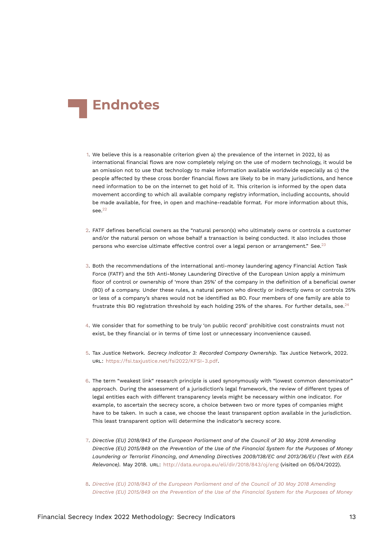<span id="page-12-13"></span>

- <span id="page-12-0"></span>[1.](#page-0-0) We believe this is a reasonable criterion given a) the prevalence of the internet in 2022, b) as international financial flows are now completely relying on the use of modern technology, it would be an omission not to use that technology to make information available worldwide especially as c) the people affected by these cross border financial flows are likely to be in many jurisdictions, and hence need information to be on the internet to get hold of it. This criterion is informed by the open data movement according to which all available company registry information, including accounts, should be made available, for free, in open and machine-readable format. For more information about this, see. $22$
- <span id="page-12-10"></span><span id="page-12-9"></span><span id="page-12-1"></span>[2.](#page-0-1) FATF defines beneficial owners as the "natural person(s) who ultimately owns or controls a customer and/or the natural person on whose behalf a transaction is being conducted. It also includes those persons who exercise ultimate effective control over a legal person or arrangement." See.<sup>[23](#page-14-1)</sup>
- <span id="page-12-2"></span>[3.](#page-0-2) Both the recommendations of the international anti-money laundering agency Financial Action Task Force (FATF) and the 5th Anti-Money Laundering Directive of the European Union apply a minimum floor of control or ownership of 'more than 25%' of the company in the definition of a beneficial owner (BO) of a company. Under these rules, a natural person who directly or indirectly owns or controls 25% or less of a company's shares would not be identified as BO. Four members of one family are able to frustrate this BO registration threshold by each holding 25% of the shares. For further details, see.<sup>[24](#page-14-2)</sup>
- <span id="page-12-11"></span><span id="page-12-3"></span>[4.](#page-2-0) We consider that for something to be truly 'on public record' prohibitive cost constraints must not exist, be they financial or in terms of time lost or unnecessary inconvenience caused.
- <span id="page-12-12"></span><span id="page-12-4"></span>[5.](#page-2-1) Tax Justice Network. *Secrecy Indicator 3: Recorded Company Ownership*. Tax Justice Network, 2022. URL: <https://fsi.taxjustice.net/fsi2022/KFSI-3.pdf>.
- <span id="page-12-5"></span>[6.](#page-2-2) The term "weakest link" research principle is used synonymously with "lowest common denominator" approach. During the assessment of a jurisdiction's legal framework, the review of different types of legal entities each with different transparency levels might be necessary within one indicator. For example, to ascertain the secrecy score, a choice between two or more types of companies might have to be taken. In such a case, we choose the least transparent option available in the jurisdiction. This least transparent option will determine the indicator's secrecy score.
- <span id="page-12-8"></span><span id="page-12-6"></span>[7.](#page-2-3) *Directive (EU) 2018/843 of the European Parliament and of the Council of 30 May 2018 Amending Directive (EU) 2015/849 on the Prevention of the Use of the Financial System for the Purposes of Money Laundering or Terrorist Financing, and Amending Directives 2009/138/EC and 2013/36/EU (Text with EEA Relevance)*. May 2018. URL: <http://data.europa.eu/eli/dir/2018/843/oj/eng> (visited on 05/04/2022).
- <span id="page-12-7"></span>[8.](#page-2-4) *[Directive \(EU\) 2018/843 of the European Parliament and of the Council of 30 May 2018 Amending](#page-12-8) [Directive \(EU\) 2015/849 on the Prevention of the Use of the Financial System for the Purposes of Money](#page-12-8)*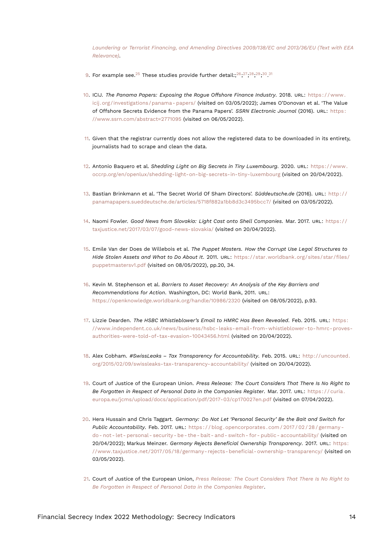<span id="page-13-21"></span><span id="page-13-20"></span><span id="page-13-19"></span><span id="page-13-18"></span><span id="page-13-17"></span><span id="page-13-16"></span><span id="page-13-15"></span><span id="page-13-14"></span>*[Laundering or Terrorist Financing, and Amending Directives 2009/138/EC and 2013/36/EU \(Text with EEA](#page-12-8) [Relevance\)](#page-12-8)*.

- <span id="page-13-0"></span>[9.](#page-3-0) For example see. $^{25}$  $^{25}$  $^{25}$  These studies provide further detail:; $^{26}, ^{27}, ^{28}, ^{29}, ^{30}, ^{31}$  $^{26}, ^{27}, ^{28}, ^{29}, ^{30}, ^{31}$  $^{26}, ^{27}, ^{28}, ^{29}, ^{30}, ^{31}$  $^{26}, ^{27}, ^{28}, ^{29}, ^{30}, ^{31}$  $^{26}, ^{27}, ^{28}, ^{29}, ^{30}, ^{31}$  $^{26}, ^{27}, ^{28}, ^{29}, ^{30}, ^{31}$  $^{26}, ^{27}, ^{28}, ^{29}, ^{30}, ^{31}$  $^{26}, ^{27}, ^{28}, ^{29}, ^{30}, ^{31}$  $^{26}, ^{27}, ^{28}, ^{29}, ^{30}, ^{31}$  $^{26}, ^{27}, ^{28}, ^{29}, ^{30}, ^{31}$  $^{26}, ^{27}, ^{28}, ^{29}, ^{30}, ^{31}$  $^{26}, ^{27}, ^{28}, ^{29}, ^{30}, ^{31}$  $^{26}, ^{27}, ^{28}, ^{29}, ^{30}, ^{31}$
- <span id="page-13-1"></span>[10.](#page-3-1) ICIJ. *The Panama Papers: Exposing the Rogue Offshore Finance Industry*. 2018. URL: [https : / / www .](https://www.icij.org/investigations/panama-papers/) icij.org/investigations/panama-papers/ (visited on 03/05/2022); James O'Donovan et al. 'The Value of Offshore Secrets Evidence from the Panama Papers'. *SSRN Electronic Journal* (2016). URL: [https :](https://www.ssrn.com/abstract=2771095) [//www.ssrn.com/abstract=2771095](https://www.ssrn.com/abstract=2771095) (visited on 06/05/2022).
- <span id="page-13-2"></span>[11.](#page-3-2) Given that the registrar currently does not allow the registered data to be downloaded in its entirety, journalists had to scrape and clean the data.
- <span id="page-13-3"></span>[12.](#page-3-3) Antonio Baquero et al. *Shedding Light on Big Secrets in Tiny Luxembourg*. 2020. URL: [https://www.](https://www.occrp.org/en/openlux/shedding-light-on-big-secrets-in-tiny-luxembourg) [occrp.org/en/openlux/shedding-light-on-big-secrets-in-tiny-luxembourg](https://www.occrp.org/en/openlux/shedding-light-on-big-secrets-in-tiny-luxembourg) (visited on 20/04/2022).
- <span id="page-13-4"></span>[13.](#page-4-0) Bastian Brinkmann et al. 'The Secret World Of Sham Directors'. *Süddeutsche.de* (2016). URL: [http://](http://panamapapers.sueddeutsche.de/articles/5718f882a1bb8d3c3495bcc7/) [panamapapers.sueddeutsche.de/articles/5718f882a1bb8d3c3495bcc7/](http://panamapapers.sueddeutsche.de/articles/5718f882a1bb8d3c3495bcc7/) (visited on 03/05/2022).
- <span id="page-13-5"></span>[14.](#page-4-1) Naomi Fowler. *Good News from Slovakia: Light Cast onto Shell Companies*. Mar. 2017. URL: [https://](https://taxjustice.net/2017/03/07/good-news-slovakia/) [taxjustice.net/2017/03/07/good-news-slovakia/](https://taxjustice.net/2017/03/07/good-news-slovakia/) (visited on 20/04/2022).
- <span id="page-13-6"></span>[15.](#page-5-0) Emile Van der Does de Willebois et al. *The Puppet Masters. How the Corrupt Use Legal Structures to Hide Stolen Assets and What to Do About It*. 2011. URL: [https://star.worldbank.org/sites/star/files/](https://star.worldbank.org/sites/star/files/puppetmastersv1.pdf) [puppetmastersv1.pdf](https://star.worldbank.org/sites/star/files/puppetmastersv1.pdf) (visited on 08/05/2022), pp.20, 34.
- <span id="page-13-7"></span>[16.](#page-5-1) Kevin M. Stephenson et al. *Barriers to Asset Recovery: An Analysis of the Key Barriers and Recommendations for Action*. Washington, DC: World Bank, 2011. URL: <https://openknowledge.worldbank.org/handle/10986/2320> (visited on 08/05/2022), p.93.
- <span id="page-13-8"></span>[17.](#page-5-2) Lizzie Dearden. *The HSBC Whistleblower's Email to HMRC Has Been Revealed*. Feb. 2015. URL: [https:](https://www.independent.co.uk/news/business/hsbc-leaks-email-from-whistleblower-to-hmrc-proves-authorities-were-told-of-tax-evasion-10043456.html) [//www.independent.co.uk/news/business/hsbc-leaks-email-from-whistleblower-to-hmrc-proves](https://www.independent.co.uk/news/business/hsbc-leaks-email-from-whistleblower-to-hmrc-proves-authorities-were-told-of-tax-evasion-10043456.html)[authorities-were-told-of-tax-evasion-10043456.html](https://www.independent.co.uk/news/business/hsbc-leaks-email-from-whistleblower-to-hmrc-proves-authorities-were-told-of-tax-evasion-10043456.html) (visited on 20/04/2022).
- <span id="page-13-9"></span>[18.](#page-5-3) Alex Cobham. *#SwissLeaks – Tax Transparency for Accountability*. Feb. 2015. URL: [http://uncounted.](http://uncounted.org/2015/02/09/swissleaks-tax-transparency-accountability/) [org/2015/02/09/swissleaks-tax-transparency-accountability/](http://uncounted.org/2015/02/09/swissleaks-tax-transparency-accountability/) (visited on 20/04/2022).
- <span id="page-13-13"></span><span id="page-13-10"></span>[19.](#page-6-0) Court of Justice of the European Union. *Press Release: The Court Considers That There Is No Right to Be Forgotten in Respect of Personal Data in the Companies Register*. Mar. 2017. URL: [https : / / curia .](https://curia.europa.eu/jcms/upload/docs/application/pdf/2017-03/cp170027en.pdf) [europa.eu/jcms/upload/docs/application/pdf/2017-03/cp170027en.pdf](https://curia.europa.eu/jcms/upload/docs/application/pdf/2017-03/cp170027en.pdf) (visited on 07/04/2022).
- <span id="page-13-11"></span>[20.](#page-6-1) Hera Hussain and Chris Taggart. *Germany: Do Not Let 'Personal Security' Be the Bait and Switch for Public Accountability*. Feb. 2017. URL: [https : / / blog . opencorporates . com / 2017 / 02 / 28 / germany](https://blog.opencorporates.com/2017/02/28/germany-do-not-let-personal-security-be-the-bait-and-switch-for-public-accountability/)  [do- not- let- personal- security- be- the- bait- and- switch- for- public- accountability/](https://blog.opencorporates.com/2017/02/28/germany-do-not-let-personal-security-be-the-bait-and-switch-for-public-accountability/) (visited on 20/04/2022); Markus Meinzer. *Germany Rejects Beneficial Ownership Transparency*. 2017. URL: [https:](https://www.taxjustice.net/2017/05/18/germany-rejects-beneficial-ownership-transparency/) [//www.taxjustice.net/2017/05/18/germany-rejects-beneficial-ownership-transparency/](https://www.taxjustice.net/2017/05/18/germany-rejects-beneficial-ownership-transparency/) (visited on 03/05/2022).
- <span id="page-13-12"></span>[21.](#page-6-2) Court of Justice of the European Union, *[Press Release: The Court Considers That There Is No Right to](#page-13-13) [Be Forgotten in Respect of Personal Data in the Companies Register](#page-13-13)*.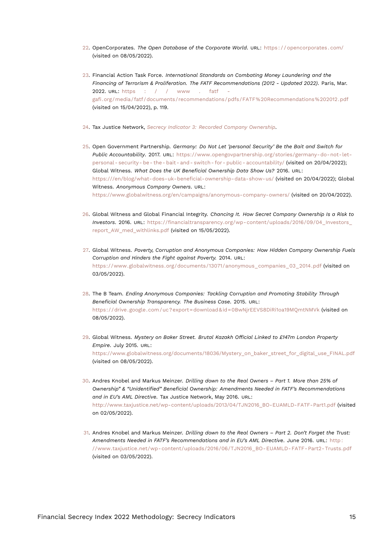- <span id="page-14-10"></span><span id="page-14-0"></span>[22.](#page-12-9) OpenCorporates. *The Open Database of the Corporate World*. URL: [https : / / opencorporates . com/](https://opencorporates.com/) (visited on 08/05/2022).
- <span id="page-14-1"></span>[23.](#page-12-10) Financial Action Task Force. *International Standards on Combating Money Laundering and the Financing of Terrorism & Proliferation. The FATF Recommendations (2012 - Updated 2022)*. Paris, Mar. 2022. URL: [https : / / www . fatf](https://www.fatf-gafi.org/media/fatf/documents/recommendations/pdfs/FATF%20Recommendations%202012.pdf)  [gafi.org/media/fatf/documents/recommendations/pdfs/FATF%20Recommendations%202012.pdf](https://www.fatf-gafi.org/media/fatf/documents/recommendations/pdfs/FATF%20Recommendations%202012.pdf) (visited on 15/04/2022), p. 119.
- <span id="page-14-2"></span>[24.](#page-12-11) Tax Justice Network, *[Secrecy Indicator 3: Recorded Company Ownership](#page-12-12)*.
- <span id="page-14-3"></span>[25.](#page-13-14) Open Government Partnership. *Germany: Do Not Let 'personal Security' Be the Bait and Switch for Public Accountability*. 2017. URL: [https://www.opengovpartnership.org/stories/germany-do-not-let](https://www.opengovpartnership.org/stories/germany-do-not-let-personal-security-be-the-bait-and-switch-for-public-accountability/)[personal- security- be- the- bait- and- switch- for- public- accountability/](https://www.opengovpartnership.org/stories/germany-do-not-let-personal-security-be-the-bait-and-switch-for-public-accountability/) (visited on 20/04/2022); Global Witness. *What Does the UK Beneficial Ownership Data Show Us?* 2016. URL: <https:///en/blog/what-does-uk-beneficial-ownership-data-show-us/> (visited on 20/04/2022); Global Witness. *Anonymous Company Owners*. URL: <https://www.globalwitness.org/en/campaigns/anonymous-company-owners/> (visited on 20/04/2022).
- <span id="page-14-4"></span>[26.](#page-13-15) Global Witness and Global Financial Integrity. *Chancing It. How Secret Company Ownership Is a Risk to Investors*. 2016. URL: [https://financialtransparency.org/wp-content/uploads/2016/09/04\\_Investors\\_](https://financialtransparency.org/wp-content/uploads/2016/09/04_Investors_report_AW_med_withlinks.pdf) [report\\_AW\\_med\\_withlinks.pdf](https://financialtransparency.org/wp-content/uploads/2016/09/04_Investors_report_AW_med_withlinks.pdf) (visited on 15/05/2022).
- <span id="page-14-5"></span>[27.](#page-13-16) Global Witness. *Poverty, Corruption and Anonymous Companies: How Hidden Company Ownership Fuels Corruption and Hinders the Fight against Poverty.* 2014. URL: [https://www.globalwitness.org/documents/13071/anonymous\\_companies\\_03\\_2014.pdf](https://www.globalwitness.org/documents/13071/anonymous_companies_03_2014.pdf) (visited on 03/05/2022).
- <span id="page-14-6"></span>[28.](#page-13-17) The B Team. *Ending Anonymous Companies: Tackling Corruption and Promoting Stability Through Beneficial Ownership Transparency. The Business Case*. 2015. URL: <https://drive.google.com/uc?export=download&id=0BwNjrEEVS8DiRi1oa19MQmtNMVk> (visited on 08/05/2022).
- <span id="page-14-7"></span>[29.](#page-13-18) Global Witness. *Mystery on Baker Street. Brutal Kazakh Official Linked to £147m London Property Empire*. July 2015. URL: [https://www.globalwitness.org/documents/18036/Mystery\\_on\\_baker\\_street\\_for\\_digital\\_use\\_FINAL.pdf](https://www.globalwitness.org/documents/18036/Mystery_on_baker_street_for_digital_use_FINAL.pdf) (visited on 08/05/2022).
- <span id="page-14-8"></span>[30.](#page-13-19) Andres Knobel and Markus Meinzer. *Drilling down to the Real Owners – Part 1. More than 25% of Ownership" & "Unidentified" Beneficial Ownership: Amendments Needed in FATF's Recommendations and in EU's AML Directive*. Tax Justice Network, May 2016. URL: [http://www.taxjustice.net/wp-content/uploads/2013/04/TJN2016\\_BO-EUAMLD-FATF-Part1.pdf](http://www.taxjustice.net/wp-content/uploads/2013/04/TJN2016_BO-EUAMLD-FATF-Part1.pdf) (visited on 02/05/2022).
- <span id="page-14-9"></span>[31.](#page-13-20) Andres Knobel and Markus Meinzer. *Drilling down to the Real Owners – Part 2. Don't Forget the Trust: Amendments Needed in FATF's Recommendations and in EU's AML Directive*. June 2016. URL: [http :](http://www.taxjustice.net/wp-content/uploads/2016/06/TJN2016_BO-EUAMLD-FATF-Part2-Trusts.pdf) [//www.taxjustice.net/wp-content/uploads/2016/06/TJN2016\\_BO-EUAMLD-FATF-Part2-Trusts.pdf](http://www.taxjustice.net/wp-content/uploads/2016/06/TJN2016_BO-EUAMLD-FATF-Part2-Trusts.pdf) (visited on 03/05/2022).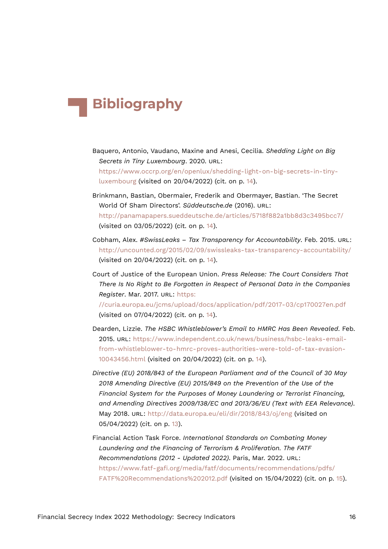## **Bibliography**

- Baquero, Antonio, Vaudano, Maxine and Anesi, Cecilia. *Shedding Light on Big Secrets in Tiny Luxembourg*. 2020. URL: [https://www.occrp.org/en/openlux/shedding-light-on-big-secrets-in-tiny](https://www.occrp.org/en/openlux/shedding-light-on-big-secrets-in-tiny-luxembourg)[luxembourg](https://www.occrp.org/en/openlux/shedding-light-on-big-secrets-in-tiny-luxembourg) (visited on 20/04/2022) (cit. on p. [14\)](#page-13-21).
- Brinkmann, Bastian, Obermaier, Frederik and Obermayer, Bastian. 'The Secret World Of Sham Directors'. *Süddeutsche.de* (2016). URL: <http://panamapapers.sueddeutsche.de/articles/5718f882a1bb8d3c3495bcc7/> (visited on 03/05/2022) (cit. on p. [14](#page-13-21)).
- Cobham, Alex. *#SwissLeaks Tax Transparency for Accountability*. Feb. 2015. URL: <http://uncounted.org/2015/02/09/swissleaks-tax-transparency-accountability/> (visited on 20/04/2022) (cit. on p. [14\)](#page-13-21).
- Court of Justice of the European Union. *Press Release: The Court Considers That There Is No Right to Be Forgotten in Respect of Personal Data in the Companies Register*. Mar. 2017. URL: [https:](https://curia.europa.eu/jcms/upload/docs/application/pdf/2017-03/cp170027en.pdf)

[//curia.europa.eu/jcms/upload/docs/application/pdf/2017-03/cp170027en.pdf](https://curia.europa.eu/jcms/upload/docs/application/pdf/2017-03/cp170027en.pdf) (visited on 07/04/2022) (cit. on p. [14\)](#page-13-21).

- Dearden, Lizzie. *The HSBC Whistleblower's Email to HMRC Has Been Revealed*. Feb. 2015. URL: [https://www.independent.co.uk/news/business/hsbc-leaks-email](https://www.independent.co.uk/news/business/hsbc-leaks-email-from-whistleblower-to-hmrc-proves-authorities-were-told-of-tax-evasion-10043456.html)[from-whistleblower-to-hmrc-proves-authorities-were-told-of-tax-evasion-](https://www.independent.co.uk/news/business/hsbc-leaks-email-from-whistleblower-to-hmrc-proves-authorities-were-told-of-tax-evasion-10043456.html)[10043456.html](https://www.independent.co.uk/news/business/hsbc-leaks-email-from-whistleblower-to-hmrc-proves-authorities-were-told-of-tax-evasion-10043456.html) (visited on 20/04/2022) (cit. on p. [14\)](#page-13-21).
- *Directive (EU) 2018/843 of the European Parliament and of the Council of 30 May 2018 Amending Directive (EU) 2015/849 on the Prevention of the Use of the Financial System for the Purposes of Money Laundering or Terrorist Financing, and Amending Directives 2009/138/EC and 2013/36/EU (Text with EEA Relevance)*. May 2018. URL: <http://data.europa.eu/eli/dir/2018/843/oj/eng> (visited on 05/04/2022) (cit. on p. [13\)](#page-12-13).
- Financial Action Task Force. *International Standards on Combating Money Laundering and the Financing of Terrorism & Proliferation. The FATF Recommendations (2012 - Updated 2022)*. Paris, Mar. 2022. URL: [https://www.fatf-gafi.org/media/fatf/documents/recommendations/pdfs/](https://www.fatf-gafi.org/media/fatf/documents/recommendations/pdfs/FATF%20Recommendations%202012.pdf) [FATF%20Recommendations%202012.pdf](https://www.fatf-gafi.org/media/fatf/documents/recommendations/pdfs/FATF%20Recommendations%202012.pdf) (visited on 15/04/2022) (cit. on p. [15](#page-14-10)).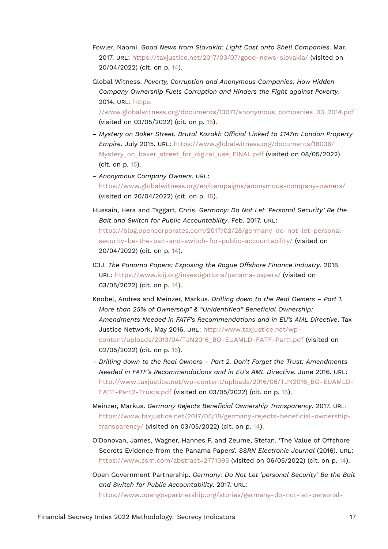- Fowler, Naomi. *Good News from Slovakia: Light Cast onto Shell Companies*. Mar. 2017. URL: <https://taxjustice.net/2017/03/07/good-news-slovakia/> (visited on 20/04/2022) (cit. on p. [14\)](#page-13-21).
- Global Witness. *Poverty, Corruption and Anonymous Companies: How Hidden Company Ownership Fuels Corruption and Hinders the Fight against Poverty.* 2014. URL: [https:](https://www.globalwitness.org/documents/13071/anonymous_companies_03_2014.pdf)

[//www.globalwitness.org/documents/13071/anonymous\\_companies\\_03\\_2014.pdf](https://www.globalwitness.org/documents/13071/anonymous_companies_03_2014.pdf) (visited on 03/05/2022) (cit. on p. [15](#page-14-10)).

- *Mystery on Baker Street. Brutal Kazakh Official Linked to £147m London Property Empire*. July 2015. URL: [https://www.globalwitness.org/documents/18036/](https://www.globalwitness.org/documents/18036/Mystery_on_baker_street_for_digital_use_FINAL.pdf) Mystery on baker street for digital use FINAL.pdf (visited on 08/05/2022) (cit. on p. [15](#page-14-10)).
- *Anonymous Company Owners*. URL: <https://www.globalwitness.org/en/campaigns/anonymous-company-owners/> (visited on 20/04/2022) (cit. on p. [15](#page-14-10)).
- Hussain, Hera and Taggart, Chris. *Germany: Do Not Let 'Personal Security' Be the Bait and Switch for Public Accountability*. Feb. 2017. URL: [https://blog.opencorporates.com/2017/02/28/germany-do-not-let-personal](https://blog.opencorporates.com/2017/02/28/germany-do-not-let-personal-security-be-the-bait-and-switch-for-public-accountability/)[security-be-the-bait-and-switch-for-public-accountability/](https://blog.opencorporates.com/2017/02/28/germany-do-not-let-personal-security-be-the-bait-and-switch-for-public-accountability/) (visited on 20/04/2022) (cit. on p. [14\)](#page-13-21).
- ICIJ. *The Panama Papers: Exposing the Rogue Offshore Finance Industry*. 2018. URL: <https://www.icij.org/investigations/panama-papers/> (visited on 03/05/2022) (cit. on p. [14](#page-13-21)).
- Knobel, Andres and Meinzer, Markus. *Drilling down to the Real Owners Part 1. More than 25% of Ownership" & "Unidentified" Beneficial Ownership: Amendments Needed in FATF's Recommendations and in EU's AML Directive*. Tax Justice Network, May 2016. URL: [http://www.taxjustice.net/wp](http://www.taxjustice.net/wp-content/uploads/2013/04/TJN2016_BO-EUAMLD-FATF-Part1.pdf)[content/uploads/2013/04/TJN2016\\_BO-EUAMLD-FATF-Part1.pdf](http://www.taxjustice.net/wp-content/uploads/2013/04/TJN2016_BO-EUAMLD-FATF-Part1.pdf) (visited on 02/05/2022) (cit. on p. [15](#page-14-10)).
- *Drilling down to the Real Owners Part 2. Don't Forget the Trust: Amendments Needed in FATF's Recommendations and in EU's AML Directive*. June 2016. URL: [http://www.taxjustice.net/wp-content/uploads/2016/06/TJN2016\\_BO-EUAMLD-](http://www.taxjustice.net/wp-content/uploads/2016/06/TJN2016_BO-EUAMLD-FATF-Part2-Trusts.pdf)[FATF-Part2-Trusts.pdf](http://www.taxjustice.net/wp-content/uploads/2016/06/TJN2016_BO-EUAMLD-FATF-Part2-Trusts.pdf) (visited on 03/05/2022) (cit. on p. [15](#page-14-10)).
- Meinzer, Markus. *Germany Rejects Beneficial Ownership Transparency*. 2017. URL: [https://www.taxjustice.net/2017/05/18/germany-rejects-beneficial-ownership](https://www.taxjustice.net/2017/05/18/germany-rejects-beneficial-ownership-transparency/)[transparency/](https://www.taxjustice.net/2017/05/18/germany-rejects-beneficial-ownership-transparency/) (visited on 03/05/2022) (cit. on p. [14\)](#page-13-21).
- O'Donovan, James, Wagner, Hannes F. and Zeume, Stefan. 'The Value of Offshore Secrets Evidence from the Panama Papers'. *SSRN Electronic Journal* (2016). URL: <https://www.ssrn.com/abstract=2771095> (visited on 06/05/2022) (cit. on p. [14](#page-13-21)).
- Open Government Partnership. *Germany: Do Not Let 'personal Security' Be the Bait and Switch for Public Accountability*. 2017. URL: [https://www.opengovpartnership.org/stories/germany-do-not-let-personal-](https://www.opengovpartnership.org/stories/germany-do-not-let-personal-security-be-the-bait-and-switch-for-public-accountability/)